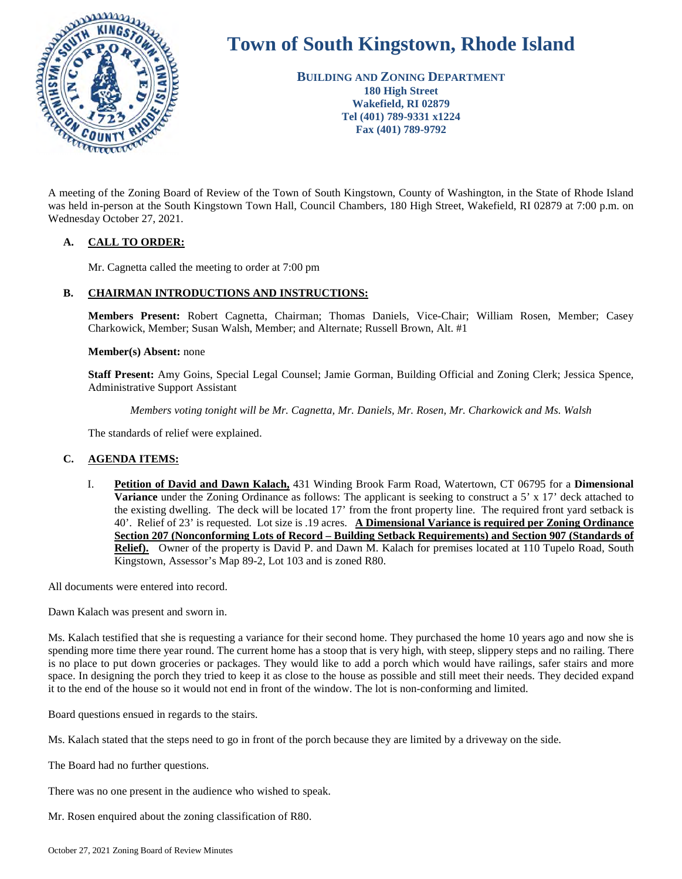

# **Town of South Kingstown, Rhode Island**

**BUILDING AND ZONING DEPARTMENT 180 High Street Wakefield, RI 02879 Tel (401) 789-9331 x1224 Fax (401) 789-9792** 

A meeting of the Zoning Board of Review of the Town of South Kingstown, County of Washington, in the State of Rhode Island was held in-person at the South Kingstown Town Hall, Council Chambers, 180 High Street, Wakefield, RI 02879 at 7:00 p.m. on Wednesday October 27, 2021.

# **A. CALL TO ORDER:**

Mr. Cagnetta called the meeting to order at 7:00 pm

# **B. CHAIRMAN INTRODUCTIONS AND INSTRUCTIONS:**

**Members Present:** Robert Cagnetta, Chairman; Thomas Daniels, Vice-Chair; William Rosen, Member; Casey Charkowick, Member; Susan Walsh, Member; and Alternate; Russell Brown, Alt. #1

#### **Member(s) Absent:** none

**Staff Present:** Amy Goins, Special Legal Counsel; Jamie Gorman, Building Official and Zoning Clerk; Jessica Spence, Administrative Support Assistant

*Members voting tonight will be Mr. Cagnetta, Mr. Daniels, Mr. Rosen, Mr. Charkowick and Ms. Walsh* 

The standards of relief were explained.

# **C. AGENDA ITEMS:**

I. **Petition of David and Dawn Kalach,** 431 Winding Brook Farm Road, Watertown, CT 06795 for a **Dimensional Variance** under the Zoning Ordinance as follows: The applicant is seeking to construct a 5' x 17' deck attached to the existing dwelling. The deck will be located 17' from the front property line. The required front yard setback is 40'. Relief of 23' is requested. Lot size is .19 acres. **A Dimensional Variance is required per Zoning Ordinance Section 207 (Nonconforming Lots of Record – Building Setback Requirements) and Section 907 (Standards of Relief).** Owner of the property is David P. and Dawn M. Kalach for premises located at 110 Tupelo Road, South Kingstown, Assessor's Map 89-2, Lot 103 and is zoned R80.

All documents were entered into record.

Dawn Kalach was present and sworn in.

Ms. Kalach testified that she is requesting a variance for their second home. They purchased the home 10 years ago and now she is spending more time there year round. The current home has a stoop that is very high, with steep, slippery steps and no railing. There is no place to put down groceries or packages. They would like to add a porch which would have railings, safer stairs and more space. In designing the porch they tried to keep it as close to the house as possible and still meet their needs. They decided expand it to the end of the house so it would not end in front of the window. The lot is non-conforming and limited.

Board questions ensued in regards to the stairs.

Ms. Kalach stated that the steps need to go in front of the porch because they are limited by a driveway on the side.

The Board had no further questions.

There was no one present in the audience who wished to speak.

Mr. Rosen enquired about the zoning classification of R80.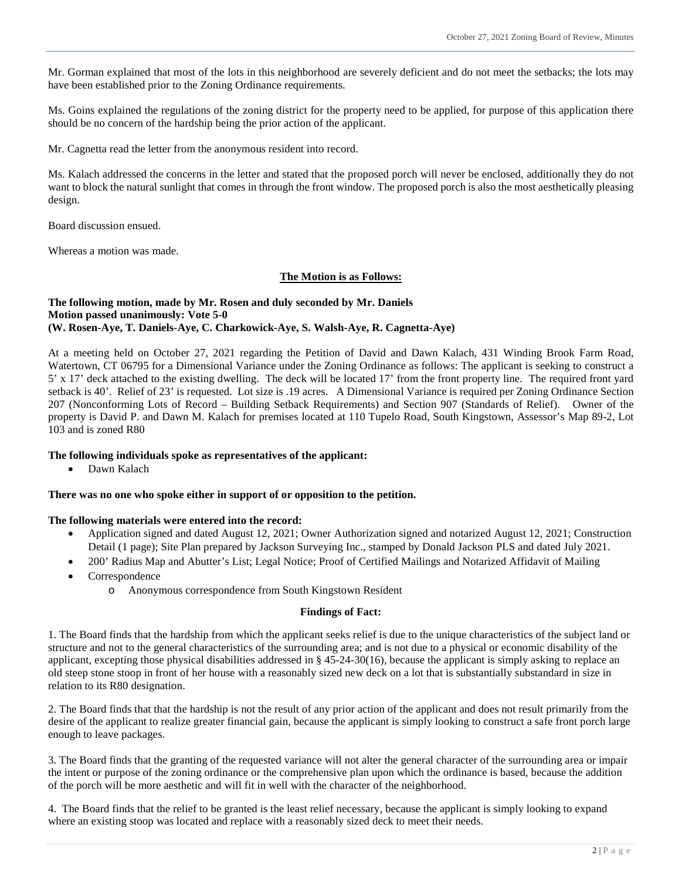Mr. Gorman explained that most of the lots in this neighborhood are severely deficient and do not meet the setbacks; the lots may have been established prior to the Zoning Ordinance requirements.

Ms. Goins explained the regulations of the zoning district for the property need to be applied, for purpose of this application there should be no concern of the hardship being the prior action of the applicant.

Mr. Cagnetta read the letter from the anonymous resident into record.

Ms. Kalach addressed the concerns in the letter and stated that the proposed porch will never be enclosed, additionally they do not want to block the natural sunlight that comes in through the front window. The proposed porch is also the most aesthetically pleasing design.

Board discussion ensued.

Whereas a motion was made.

#### **The Motion is as Follows:**

#### **The following motion, made by Mr. Rosen and duly seconded by Mr. Daniels Motion passed unanimously: Vote 5-0 (W. Rosen-Aye, T. Daniels-Aye, C. Charkowick-Aye, S. Walsh-Aye, R. Cagnetta-Aye)**

At a meeting held on October 27, 2021 regarding the Petition of David and Dawn Kalach, 431 Winding Brook Farm Road, Watertown, CT 06795 for a Dimensional Variance under the Zoning Ordinance as follows: The applicant is seeking to construct a 5' x 17' deck attached to the existing dwelling. The deck will be located 17' from the front property line. The required front yard setback is 40'. Relief of 23' is requested. Lot size is .19 acres. A Dimensional Variance is required per Zoning Ordinance Section 207 (Nonconforming Lots of Record – Building Setback Requirements) and Section 907 (Standards of Relief). Owner of the property is David P. and Dawn M. Kalach for premises located at 110 Tupelo Road, South Kingstown, Assessor's Map 89-2, Lot 103 and is zoned R80

#### **The following individuals spoke as representatives of the applicant:**

Dawn Kalach

#### **There was no one who spoke either in support of or opposition to the petition.**

#### **The following materials were entered into the record:**

- Application signed and dated August 12, 2021; Owner Authorization signed and notarized August 12, 2021; Construction Detail (1 page); Site Plan prepared by Jackson Surveying Inc., stamped by Donald Jackson PLS and dated July 2021.
- 200' Radius Map and Abutter's List; Legal Notice; Proof of Certified Mailings and Notarized Affidavit of Mailing
- Correspondence
	- o Anonymous correspondence from South Kingstown Resident

#### **Findings of Fact:**

1. The Board finds that the hardship from which the applicant seeks relief is due to the unique characteristics of the subject land or structure and not to the general characteristics of the surrounding area; and is not due to a physical or economic disability of the applicant, excepting those physical disabilities addressed in  $\S$  45-24-30(16), because the applicant is simply asking to replace an old steep stone stoop in front of her house with a reasonably sized new deck on a lot that is substantially substandard in size in relation to its R80 designation.

2. The Board finds that that the hardship is not the result of any prior action of the applicant and does not result primarily from the desire of the applicant to realize greater financial gain, because the applicant is simply looking to construct a safe front porch large enough to leave packages.

3. The Board finds that the granting of the requested variance will not alter the general character of the surrounding area or impair the intent or purpose of the zoning ordinance or the comprehensive plan upon which the ordinance is based, because the addition of the porch will be more aesthetic and will fit in well with the character of the neighborhood.

4. The Board finds that the relief to be granted is the least relief necessary, because the applicant is simply looking to expand where an existing stoop was located and replace with a reasonably sized deck to meet their needs.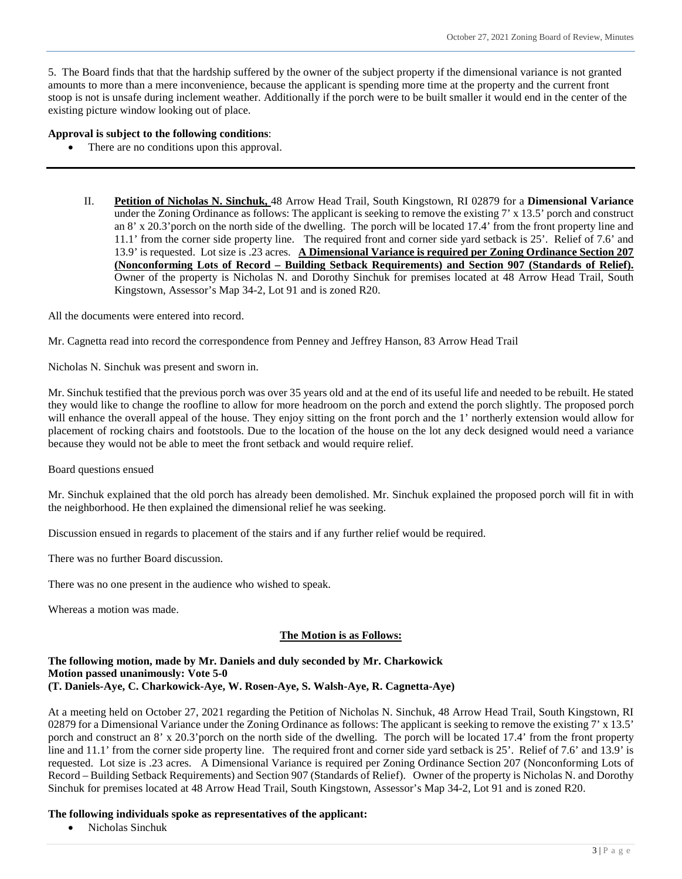5. The Board finds that that the hardship suffered by the owner of the subject property if the dimensional variance is not granted amounts to more than a mere inconvenience, because the applicant is spending more time at the property and the current front stoop is not is unsafe during inclement weather. Additionally if the porch were to be built smaller it would end in the center of the existing picture window looking out of place.

#### **Approval is subject to the following conditions**:

- There are no conditions upon this approval.
	- II. **Petition of Nicholas N. Sinchuk,** 48 Arrow Head Trail, South Kingstown, RI 02879 for a **Dimensional Variance**  under the Zoning Ordinance as follows: The applicant is seeking to remove the existing 7' x 13.5' porch and construct an 8' x 20.3'porch on the north side of the dwelling. The porch will be located 17.4' from the front property line and 11.1' from the corner side property line. The required front and corner side yard setback is 25'. Relief of 7.6' and 13.9' is requested. Lot size is .23 acres. **A Dimensional Variance is required per Zoning Ordinance Section 207 (Nonconforming Lots of Record – Building Setback Requirements) and Section 907 (Standards of Relief).** Owner of the property is Nicholas N. and Dorothy Sinchuk for premises located at 48 Arrow Head Trail, South Kingstown, Assessor's Map 34-2, Lot 91 and is zoned R20.

All the documents were entered into record.

Mr. Cagnetta read into record the correspondence from Penney and Jeffrey Hanson, 83 Arrow Head Trail

Nicholas N. Sinchuk was present and sworn in.

Mr. Sinchuk testified that the previous porch was over 35 years old and at the end of its useful life and needed to be rebuilt. He stated they would like to change the roofline to allow for more headroom on the porch and extend the porch slightly. The proposed porch will enhance the overall appeal of the house. They enjoy sitting on the front porch and the 1' northerly extension would allow for placement of rocking chairs and footstools. Due to the location of the house on the lot any deck designed would need a variance because they would not be able to meet the front setback and would require relief.

Board questions ensued

Mr. Sinchuk explained that the old porch has already been demolished. Mr. Sinchuk explained the proposed porch will fit in with the neighborhood. He then explained the dimensional relief he was seeking.

Discussion ensued in regards to placement of the stairs and if any further relief would be required.

There was no further Board discussion.

There was no one present in the audience who wished to speak.

Whereas a motion was made.

# **The Motion is as Follows:**

#### **The following motion, made by Mr. Daniels and duly seconded by Mr. Charkowick Motion passed unanimously: Vote 5-0 (T. Daniels-Aye, C. Charkowick-Aye, W. Rosen-Aye, S. Walsh-Aye, R. Cagnetta-Aye)**

At a meeting held on October 27, 2021 regarding the Petition of Nicholas N. Sinchuk, 48 Arrow Head Trail, South Kingstown, RI 02879 for a Dimensional Variance under the Zoning Ordinance as follows: The applicant is seeking to remove the existing 7' x 13.5' porch and construct an 8' x 20.3'porch on the north side of the dwelling. The porch will be located 17.4' from the front property line and 11.1' from the corner side property line. The required front and corner side yard setback is 25'. Relief of 7.6' and 13.9' is requested. Lot size is .23 acres. A Dimensional Variance is required per Zoning Ordinance Section 207 (Nonconforming Lots of Record – Building Setback Requirements) and Section 907 (Standards of Relief). Owner of the property is Nicholas N. and Dorothy Sinchuk for premises located at 48 Arrow Head Trail, South Kingstown, Assessor's Map 34-2, Lot 91 and is zoned R20.

#### **The following individuals spoke as representatives of the applicant:**

Nicholas Sinchuk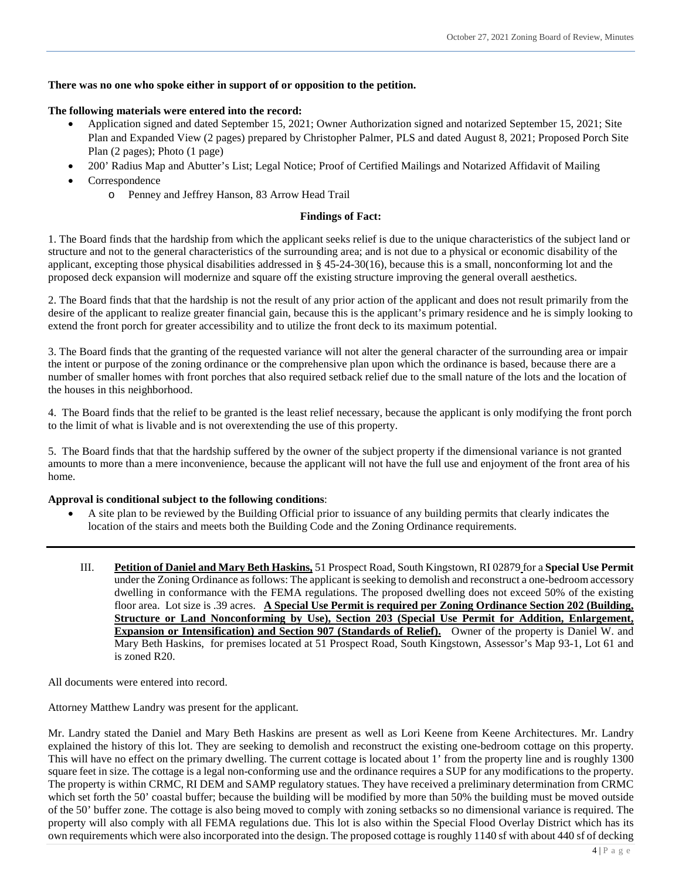# **There was no one who spoke either in support of or opposition to the petition.**

#### **The following materials were entered into the record:**

- Application signed and dated September 15, 2021; Owner Authorization signed and notarized September 15, 2021; Site Plan and Expanded View (2 pages) prepared by Christopher Palmer, PLS and dated August 8, 2021; Proposed Porch Site Plan (2 pages); Photo (1 page)
- 200' Radius Map and Abutter's List; Legal Notice; Proof of Certified Mailings and Notarized Affidavit of Mailing
- Correspondence
	- o Penney and Jeffrey Hanson, 83 Arrow Head Trail

### **Findings of Fact:**

1. The Board finds that the hardship from which the applicant seeks relief is due to the unique characteristics of the subject land or structure and not to the general characteristics of the surrounding area; and is not due to a physical or economic disability of the applicant, excepting those physical disabilities addressed in § 45-24-30(16), because this is a small, nonconforming lot and the proposed deck expansion will modernize and square off the existing structure improving the general overall aesthetics.

2. The Board finds that that the hardship is not the result of any prior action of the applicant and does not result primarily from the desire of the applicant to realize greater financial gain, because this is the applicant's primary residence and he is simply looking to extend the front porch for greater accessibility and to utilize the front deck to its maximum potential.

3. The Board finds that the granting of the requested variance will not alter the general character of the surrounding area or impair the intent or purpose of the zoning ordinance or the comprehensive plan upon which the ordinance is based, because there are a number of smaller homes with front porches that also required setback relief due to the small nature of the lots and the location of the houses in this neighborhood.

4. The Board finds that the relief to be granted is the least relief necessary, because the applicant is only modifying the front porch to the limit of what is livable and is not overextending the use of this property.

5. The Board finds that that the hardship suffered by the owner of the subject property if the dimensional variance is not granted amounts to more than a mere inconvenience, because the applicant will not have the full use and enjoyment of the front area of his home.

# **Approval is conditional subject to the following conditions**:

- A site plan to be reviewed by the Building Official prior to issuance of any building permits that clearly indicates the location of the stairs and meets both the Building Code and the Zoning Ordinance requirements.
	- III. **Petition of Daniel and Mary Beth Haskins,** 51 Prospect Road, South Kingstown, RI 02879 for a **Special Use Permit**  under the Zoning Ordinance as follows: The applicant is seeking to demolish and reconstruct a one-bedroom accessory dwelling in conformance with the FEMA regulations. The proposed dwelling does not exceed 50% of the existing floor area. Lot size is .39 acres. **A Special Use Permit is required per Zoning Ordinance Section 202 (Building, Structure or Land Nonconforming by Use), Section 203 (Special Use Permit for Addition, Enlargement, Expansion or Intensification) and Section 907 (Standards of Relief).** Owner of the property is Daniel W. and Mary Beth Haskins, for premises located at 51 Prospect Road, South Kingstown, Assessor's Map 93-1, Lot 61 and is zoned R20.

All documents were entered into record.

Attorney Matthew Landry was present for the applicant.

Mr. Landry stated the Daniel and Mary Beth Haskins are present as well as Lori Keene from Keene Architectures. Mr. Landry explained the history of this lot. They are seeking to demolish and reconstruct the existing one-bedroom cottage on this property. This will have no effect on the primary dwelling. The current cottage is located about 1' from the property line and is roughly 1300 square feet in size. The cottage is a legal non-conforming use and the ordinance requires a SUP for any modifications to the property. The property is within CRMC, RI DEM and SAMP regulatory statues. They have received a preliminary determination from CRMC which set forth the 50' coastal buffer; because the building will be modified by more than 50% the building must be moved outside of the 50' buffer zone. The cottage is also being moved to comply with zoning setbacks so no dimensional variance is required. The property will also comply with all FEMA regulations due. This lot is also within the Special Flood Overlay District which has its own requirements which were also incorporated into the design. The proposed cottage is roughly 1140 sf with about 440 sf of decking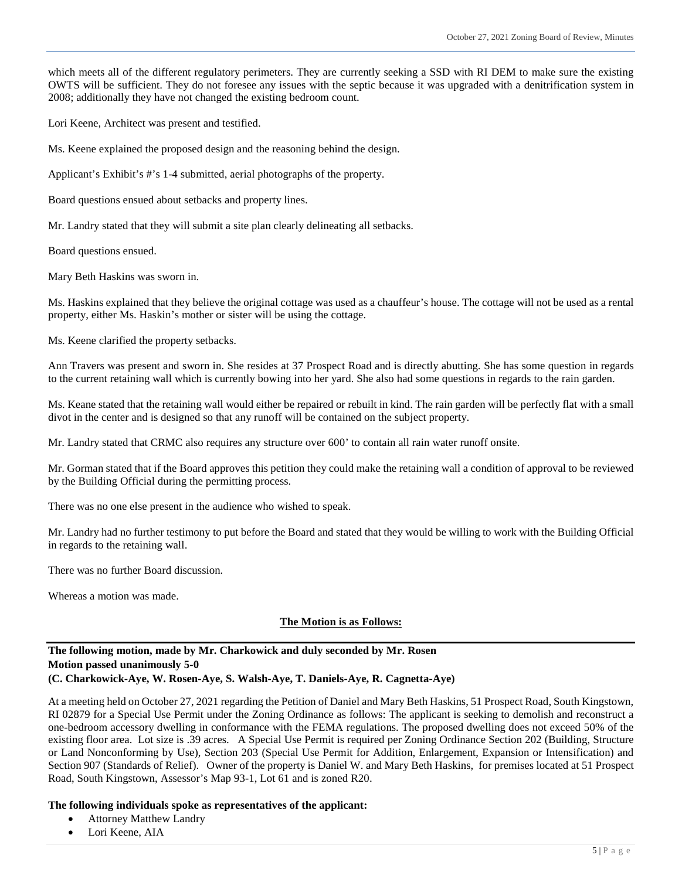which meets all of the different regulatory perimeters. They are currently seeking a SSD with RI DEM to make sure the existing OWTS will be sufficient. They do not foresee any issues with the septic because it was upgraded with a denitrification system in 2008; additionally they have not changed the existing bedroom count.

Lori Keene, Architect was present and testified.

Ms. Keene explained the proposed design and the reasoning behind the design.

Applicant's Exhibit's #'s 1-4 submitted, aerial photographs of the property.

Board questions ensued about setbacks and property lines.

Mr. Landry stated that they will submit a site plan clearly delineating all setbacks.

Board questions ensued.

Mary Beth Haskins was sworn in.

Ms. Haskins explained that they believe the original cottage was used as a chauffeur's house. The cottage will not be used as a rental property, either Ms. Haskin's mother or sister will be using the cottage.

Ms. Keene clarified the property setbacks.

Ann Travers was present and sworn in. She resides at 37 Prospect Road and is directly abutting. She has some question in regards to the current retaining wall which is currently bowing into her yard. She also had some questions in regards to the rain garden.

Ms. Keane stated that the retaining wall would either be repaired or rebuilt in kind. The rain garden will be perfectly flat with a small divot in the center and is designed so that any runoff will be contained on the subject property.

Mr. Landry stated that CRMC also requires any structure over 600' to contain all rain water runoff onsite.

Mr. Gorman stated that if the Board approves this petition they could make the retaining wall a condition of approval to be reviewed by the Building Official during the permitting process.

There was no one else present in the audience who wished to speak.

Mr. Landry had no further testimony to put before the Board and stated that they would be willing to work with the Building Official in regards to the retaining wall.

There was no further Board discussion.

Whereas a motion was made.

# **The Motion is as Follows:**

# **The following motion, made by Mr. Charkowick and duly seconded by Mr. Rosen Motion passed unanimously 5-0**

# **(C. Charkowick-Aye, W. Rosen-Aye, S. Walsh-Aye, T. Daniels-Aye, R. Cagnetta-Aye)**

At a meeting held on October 27, 2021 regarding the Petition of Daniel and Mary Beth Haskins, 51 Prospect Road, South Kingstown, RI 02879 for a Special Use Permit under the Zoning Ordinance as follows: The applicant is seeking to demolish and reconstruct a one-bedroom accessory dwelling in conformance with the FEMA regulations. The proposed dwelling does not exceed 50% of the existing floor area. Lot size is .39 acres. A Special Use Permit is required per Zoning Ordinance Section 202 (Building, Structure or Land Nonconforming by Use), Section 203 (Special Use Permit for Addition, Enlargement, Expansion or Intensification) and Section 907 (Standards of Relief). Owner of the property is Daniel W. and Mary Beth Haskins, for premises located at 51 Prospect Road, South Kingstown, Assessor's Map 93-1, Lot 61 and is zoned R20.

#### **The following individuals spoke as representatives of the applicant:**

- Attorney Matthew Landry
- Lori Keene, AIA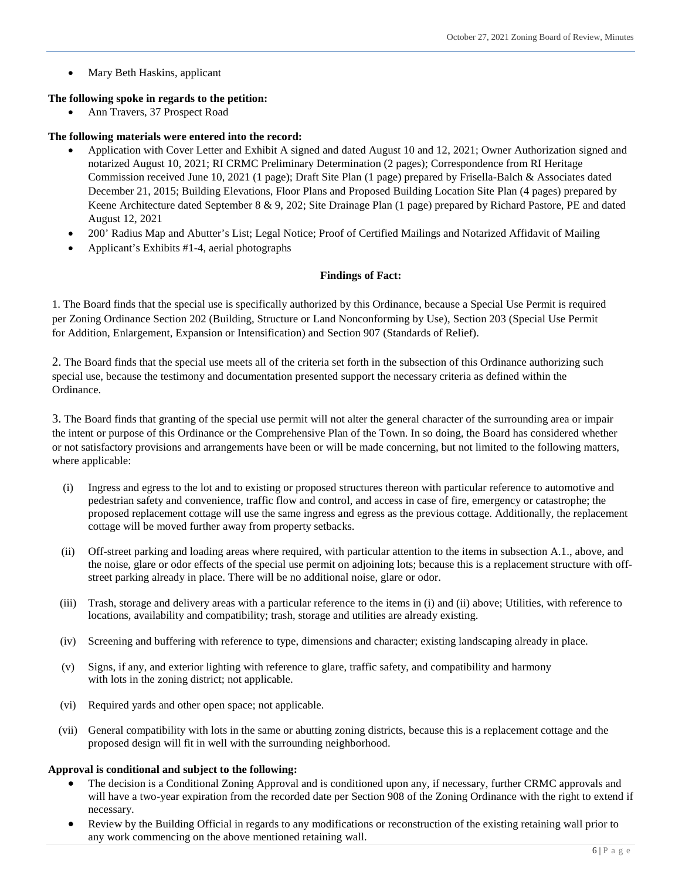Mary Beth Haskins, applicant

#### **The following spoke in regards to the petition:**

Ann Travers, 37 Prospect Road

# **The following materials were entered into the record:**

- Application with Cover Letter and Exhibit A signed and dated August 10 and 12, 2021; Owner Authorization signed and notarized August 10, 2021; RI CRMC Preliminary Determination (2 pages); Correspondence from RI Heritage Commission received June 10, 2021 (1 page); Draft Site Plan (1 page) prepared by Frisella-Balch & Associates dated December 21, 2015; Building Elevations, Floor Plans and Proposed Building Location Site Plan (4 pages) prepared by Keene Architecture dated September 8 & 9, 202; Site Drainage Plan (1 page) prepared by Richard Pastore, PE and dated August 12, 2021
- 200' Radius Map and Abutter's List; Legal Notice; Proof of Certified Mailings and Notarized Affidavit of Mailing
- Applicant's Exhibits #1-4, aerial photographs

#### **Findings of Fact:**

1. The Board finds that the special use is specifically authorized by this Ordinance, because a Special Use Permit is required per Zoning Ordinance Section 202 (Building, Structure or Land Nonconforming by Use), Section 203 (Special Use Permit for Addition, Enlargement, Expansion or Intensification) and Section 907 (Standards of Relief).

2. The Board finds that the special use meets all of the criteria set forth in the subsection of this Ordinance authorizing such special use, because the testimony and documentation presented support the necessary criteria as defined within the Ordinance.

3. The Board finds that granting of the special use permit will not alter the general character of the surrounding area or impair the intent or purpose of this Ordinance or the Comprehensive Plan of the Town. In so doing, the Board has considered whether or not satisfactory provisions and arrangements have been or will be made concerning, but not limited to the following matters, where applicable:

- (i) Ingress and egress to the lot and to existing or proposed structures thereon with particular reference to automotive and pedestrian safety and convenience, traffic flow and control, and access in case of fire, emergency or catastrophe; the proposed replacement cottage will use the same ingress and egress as the previous cottage. Additionally, the replacement cottage will be moved further away from property setbacks.
- (ii) Off-street parking and loading areas where required, with particular attention to the items in subsection A.1., above, and the noise, glare or odor effects of the special use permit on adjoining lots; because this is a replacement structure with offstreet parking already in place. There will be no additional noise, glare or odor.
- (iii) Trash, storage and delivery areas with a particular reference to the items in (i) and (ii) above; Utilities, with reference to locations, availability and compatibility; trash, storage and utilities are already existing.
- (iv) Screening and buffering with reference to type, dimensions and character; existing landscaping already in place.
- (v) Signs, if any, and exterior lighting with reference to glare, traffic safety, and compatibility and harmony with lots in the zoning district; not applicable.
- (vi) Required yards and other open space; not applicable.
- (vii) General compatibility with lots in the same or abutting zoning districts, because this is a replacement cottage and the proposed design will fit in well with the surrounding neighborhood.

#### **Approval is conditional and subject to the following:**

- The decision is a Conditional Zoning Approval and is conditioned upon any, if necessary, further CRMC approvals and will have a two-year expiration from the recorded date per Section 908 of the Zoning Ordinance with the right to extend if necessary.
- Review by the Building Official in regards to any modifications or reconstruction of the existing retaining wall prior to any work commencing on the above mentioned retaining wall.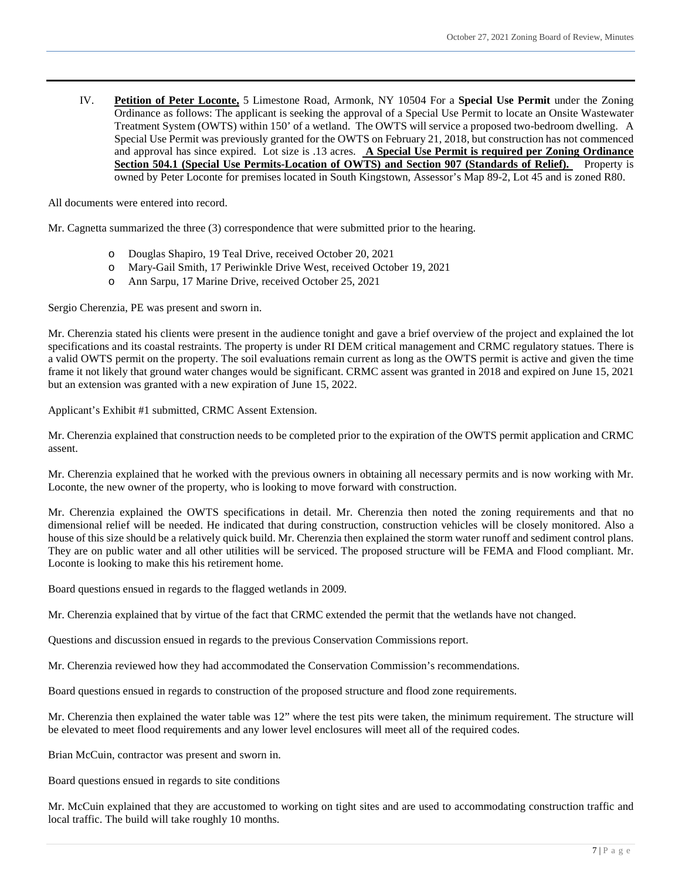IV. **Petition of Peter Loconte,** 5 Limestone Road, Armonk, NY 10504 For a **Special Use Permit** under the Zoning Ordinance as follows: The applicant is seeking the approval of a Special Use Permit to locate an Onsite Wastewater Treatment System (OWTS) within 150' of a wetland. The OWTS will service a proposed two-bedroom dwelling. A Special Use Permit was previously granted for the OWTS on February 21, 2018, but construction has not commenced and approval has since expired. Lot size is .13 acres. **A Special Use Permit is required per Zoning Ordinance Section 504.1 (Special Use Permits-Location of OWTS) and Section 907 (Standards of Relief).** Property is owned by Peter Loconte for premises located in South Kingstown, Assessor's Map 89-2, Lot 45 and is zoned R80.

All documents were entered into record.

Mr. Cagnetta summarized the three (3) correspondence that were submitted prior to the hearing.

- Douglas Shapiro, 19 Teal Drive, received October 20, 2021
- o Mary-Gail Smith, 17 Periwinkle Drive West, received October 19, 2021
- o Ann Sarpu, 17 Marine Drive, received October 25, 2021

Sergio Cherenzia, PE was present and sworn in.

Mr. Cherenzia stated his clients were present in the audience tonight and gave a brief overview of the project and explained the lot specifications and its coastal restraints. The property is under RI DEM critical management and CRMC regulatory statues. There is a valid OWTS permit on the property. The soil evaluations remain current as long as the OWTS permit is active and given the time frame it not likely that ground water changes would be significant. CRMC assent was granted in 2018 and expired on June 15, 2021 but an extension was granted with a new expiration of June 15, 2022.

Applicant's Exhibit #1 submitted, CRMC Assent Extension.

Mr. Cherenzia explained that construction needs to be completed prior to the expiration of the OWTS permit application and CRMC assent.

Mr. Cherenzia explained that he worked with the previous owners in obtaining all necessary permits and is now working with Mr. Loconte, the new owner of the property, who is looking to move forward with construction.

Mr. Cherenzia explained the OWTS specifications in detail. Mr. Cherenzia then noted the zoning requirements and that no dimensional relief will be needed. He indicated that during construction, construction vehicles will be closely monitored. Also a house of this size should be a relatively quick build. Mr. Cherenzia then explained the storm water runoff and sediment control plans. They are on public water and all other utilities will be serviced. The proposed structure will be FEMA and Flood compliant. Mr. Loconte is looking to make this his retirement home.

Board questions ensued in regards to the flagged wetlands in 2009.

Mr. Cherenzia explained that by virtue of the fact that CRMC extended the permit that the wetlands have not changed.

Questions and discussion ensued in regards to the previous Conservation Commissions report.

Mr. Cherenzia reviewed how they had accommodated the Conservation Commission's recommendations.

Board questions ensued in regards to construction of the proposed structure and flood zone requirements.

Mr. Cherenzia then explained the water table was 12" where the test pits were taken, the minimum requirement. The structure will be elevated to meet flood requirements and any lower level enclosures will meet all of the required codes.

Brian McCuin, contractor was present and sworn in.

Board questions ensued in regards to site conditions

Mr. McCuin explained that they are accustomed to working on tight sites and are used to accommodating construction traffic and local traffic. The build will take roughly 10 months.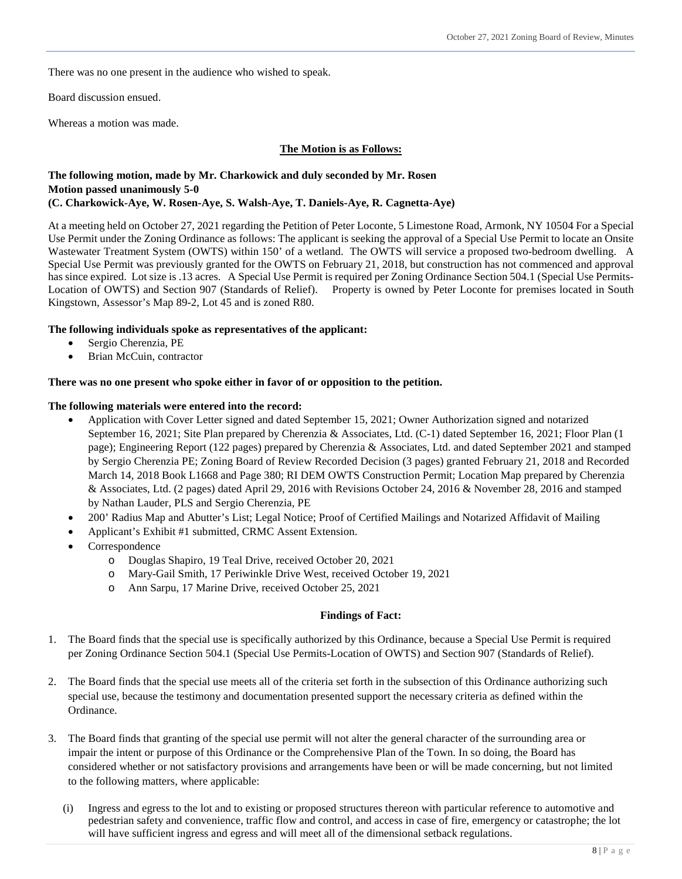There was no one present in the audience who wished to speak.

Board discussion ensued.

Whereas a motion was made.

#### **The Motion is as Follows:**

# **The following motion, made by Mr. Charkowick and duly seconded by Mr. Rosen Motion passed unanimously 5-0 (C. Charkowick-Aye, W. Rosen-Aye, S. Walsh-Aye, T. Daniels-Aye, R. Cagnetta-Aye)**

At a meeting held on October 27, 2021 regarding the Petition of Peter Loconte, 5 Limestone Road, Armonk, NY 10504 For a Special Use Permit under the Zoning Ordinance as follows: The applicant is seeking the approval of a Special Use Permit to locate an Onsite Wastewater Treatment System (OWTS) within 150' of a wetland. The OWTS will service a proposed two-bedroom dwelling. A Special Use Permit was previously granted for the OWTS on February 21, 2018, but construction has not commenced and approval has since expired. Lot size is .13 acres. A Special Use Permit is required per Zoning Ordinance Section 504.1 (Special Use Permits-Location of OWTS) and Section 907 (Standards of Relief). Property is owned by Peter Loconte for premises located in South Kingstown, Assessor's Map 89-2, Lot 45 and is zoned R80.

# **The following individuals spoke as representatives of the applicant:**

- Sergio Cherenzia, PE
- Brian McCuin, contractor

#### **There was no one present who spoke either in favor of or opposition to the petition.**

#### **The following materials were entered into the record:**

- Application with Cover Letter signed and dated September 15, 2021; Owner Authorization signed and notarized September 16, 2021; Site Plan prepared by Cherenzia & Associates, Ltd. (C-1) dated September 16, 2021; Floor Plan (1 page); Engineering Report (122 pages) prepared by Cherenzia & Associates, Ltd. and dated September 2021 and stamped by Sergio Cherenzia PE; Zoning Board of Review Recorded Decision (3 pages) granted February 21, 2018 and Recorded March 14, 2018 Book L1668 and Page 380; RI DEM OWTS Construction Permit; Location Map prepared by Cherenzia & Associates, Ltd. (2 pages) dated April 29, 2016 with Revisions October 24, 2016 & November 28, 2016 and stamped by Nathan Lauder, PLS and Sergio Cherenzia, PE
- 200' Radius Map and Abutter's List; Legal Notice; Proof of Certified Mailings and Notarized Affidavit of Mailing
- Applicant's Exhibit #1 submitted, CRMC Assent Extension.
- Correspondence
	- o Douglas Shapiro, 19 Teal Drive, received October 20, 2021
	- o Mary-Gail Smith, 17 Periwinkle Drive West, received October 19, 2021
	- o Ann Sarpu, 17 Marine Drive, received October 25, 2021

## **Findings of Fact:**

- 1. The Board finds that the special use is specifically authorized by this Ordinance, because a Special Use Permit is required per Zoning Ordinance Section 504.1 (Special Use Permits-Location of OWTS) and Section 907 (Standards of Relief).
- 2. The Board finds that the special use meets all of the criteria set forth in the subsection of this Ordinance authorizing such special use, because the testimony and documentation presented support the necessary criteria as defined within the Ordinance.
- 3. The Board finds that granting of the special use permit will not alter the general character of the surrounding area or impair the intent or purpose of this Ordinance or the Comprehensive Plan of the Town. In so doing, the Board has considered whether or not satisfactory provisions and arrangements have been or will be made concerning, but not limited to the following matters, where applicable:
	- (i) Ingress and egress to the lot and to existing or proposed structures thereon with particular reference to automotive and pedestrian safety and convenience, traffic flow and control, and access in case of fire, emergency or catastrophe; the lot will have sufficient ingress and egress and will meet all of the dimensional setback regulations.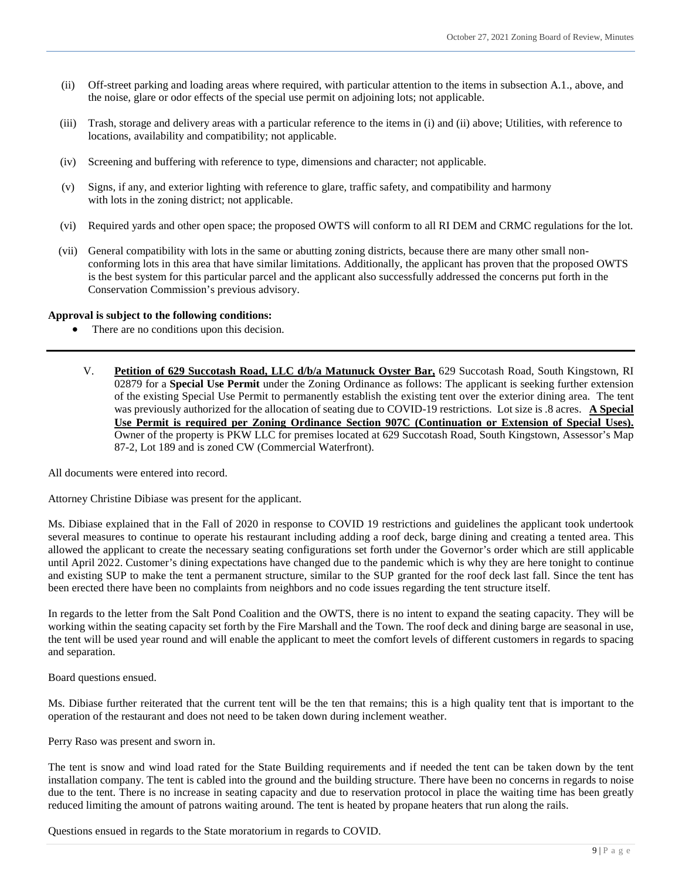- (ii) Off-street parking and loading areas where required, with particular attention to the items in subsection A.1., above, and the noise, glare or odor effects of the special use permit on adjoining lots; not applicable.
- (iii) Trash, storage and delivery areas with a particular reference to the items in (i) and (ii) above; Utilities, with reference to locations, availability and compatibility; not applicable.
- (iv) Screening and buffering with reference to type, dimensions and character; not applicable.
- (v) Signs, if any, and exterior lighting with reference to glare, traffic safety, and compatibility and harmony with lots in the zoning district; not applicable.
- (vi) Required yards and other open space; the proposed OWTS will conform to all RI DEM and CRMC regulations for the lot.
- (vii) General compatibility with lots in the same or abutting zoning districts, because there are many other small nonconforming lots in this area that have similar limitations. Additionally, the applicant has proven that the proposed OWTS is the best system for this particular parcel and the applicant also successfully addressed the concerns put forth in the Conservation Commission's previous advisory.

#### **Approval is subject to the following conditions:**

- There are no conditions upon this decision.
	- V. **Petition of 629 Succotash Road, LLC d/b/a Matunuck Oyster Bar,** 629 Succotash Road, South Kingstown, RI 02879 for a **Special Use Permit** under the Zoning Ordinance as follows: The applicant is seeking further extension of the existing Special Use Permit to permanently establish the existing tent over the exterior dining area. The tent was previously authorized for the allocation of seating due to COVID-19 restrictions. Lot size is .8 acres. **A Special Use Permit is required per Zoning Ordinance Section 907C (Continuation or Extension of Special Uses).** Owner of the property is PKW LLC for premises located at 629 Succotash Road, South Kingstown, Assessor's Map 87-2, Lot 189 and is zoned CW (Commercial Waterfront).

All documents were entered into record.

Attorney Christine Dibiase was present for the applicant.

Ms. Dibiase explained that in the Fall of 2020 in response to COVID 19 restrictions and guidelines the applicant took undertook several measures to continue to operate his restaurant including adding a roof deck, barge dining and creating a tented area. This allowed the applicant to create the necessary seating configurations set forth under the Governor's order which are still applicable until April 2022. Customer's dining expectations have changed due to the pandemic which is why they are here tonight to continue and existing SUP to make the tent a permanent structure, similar to the SUP granted for the roof deck last fall. Since the tent has been erected there have been no complaints from neighbors and no code issues regarding the tent structure itself.

In regards to the letter from the Salt Pond Coalition and the OWTS, there is no intent to expand the seating capacity. They will be working within the seating capacity set forth by the Fire Marshall and the Town. The roof deck and dining barge are seasonal in use, the tent will be used year round and will enable the applicant to meet the comfort levels of different customers in regards to spacing and separation.

Board questions ensued.

Ms. Dibiase further reiterated that the current tent will be the ten that remains; this is a high quality tent that is important to the operation of the restaurant and does not need to be taken down during inclement weather.

Perry Raso was present and sworn in.

The tent is snow and wind load rated for the State Building requirements and if needed the tent can be taken down by the tent installation company. The tent is cabled into the ground and the building structure. There have been no concerns in regards to noise due to the tent. There is no increase in seating capacity and due to reservation protocol in place the waiting time has been greatly reduced limiting the amount of patrons waiting around. The tent is heated by propane heaters that run along the rails.

Questions ensued in regards to the State moratorium in regards to COVID.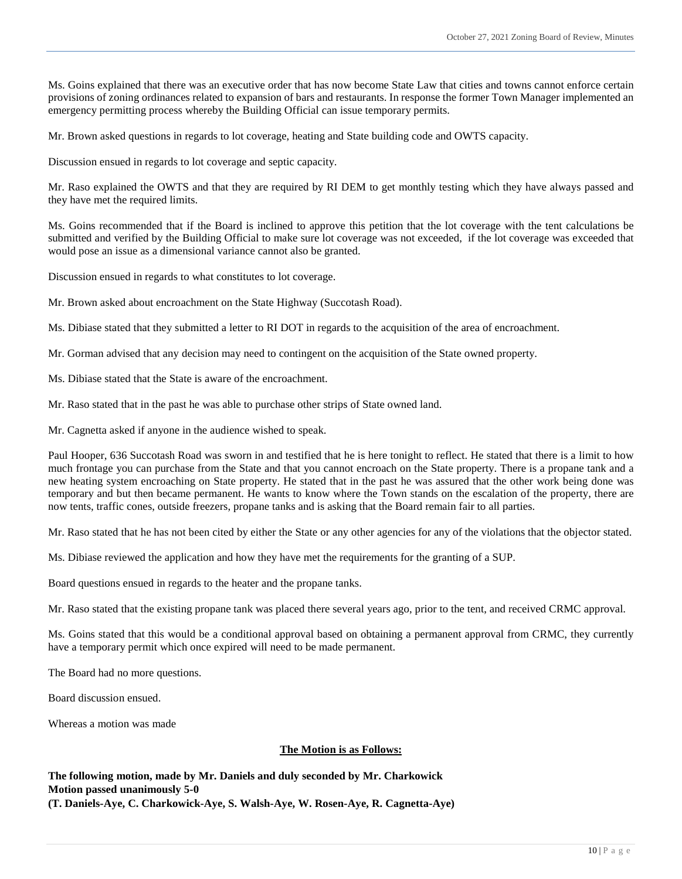Ms. Goins explained that there was an executive order that has now become State Law that cities and towns cannot enforce certain provisions of zoning ordinances related to expansion of bars and restaurants. In response the former Town Manager implemented an emergency permitting process whereby the Building Official can issue temporary permits.

Mr. Brown asked questions in regards to lot coverage, heating and State building code and OWTS capacity.

Discussion ensued in regards to lot coverage and septic capacity.

Mr. Raso explained the OWTS and that they are required by RI DEM to get monthly testing which they have always passed and they have met the required limits.

Ms. Goins recommended that if the Board is inclined to approve this petition that the lot coverage with the tent calculations be submitted and verified by the Building Official to make sure lot coverage was not exceeded, if the lot coverage was exceeded that would pose an issue as a dimensional variance cannot also be granted.

Discussion ensued in regards to what constitutes to lot coverage.

Mr. Brown asked about encroachment on the State Highway (Succotash Road).

Ms. Dibiase stated that they submitted a letter to RI DOT in regards to the acquisition of the area of encroachment.

Mr. Gorman advised that any decision may need to contingent on the acquisition of the State owned property.

Ms. Dibiase stated that the State is aware of the encroachment.

Mr. Raso stated that in the past he was able to purchase other strips of State owned land.

Mr. Cagnetta asked if anyone in the audience wished to speak.

Paul Hooper, 636 Succotash Road was sworn in and testified that he is here tonight to reflect. He stated that there is a limit to how much frontage you can purchase from the State and that you cannot encroach on the State property. There is a propane tank and a new heating system encroaching on State property. He stated that in the past he was assured that the other work being done was temporary and but then became permanent. He wants to know where the Town stands on the escalation of the property, there are now tents, traffic cones, outside freezers, propane tanks and is asking that the Board remain fair to all parties.

Mr. Raso stated that he has not been cited by either the State or any other agencies for any of the violations that the objector stated.

Ms. Dibiase reviewed the application and how they have met the requirements for the granting of a SUP.

Board questions ensued in regards to the heater and the propane tanks.

Mr. Raso stated that the existing propane tank was placed there several years ago, prior to the tent, and received CRMC approval.

Ms. Goins stated that this would be a conditional approval based on obtaining a permanent approval from CRMC, they currently have a temporary permit which once expired will need to be made permanent.

The Board had no more questions.

Board discussion ensued.

Whereas a motion was made

# **The Motion is as Follows:**

**The following motion, made by Mr. Daniels and duly seconded by Mr. Charkowick Motion passed unanimously 5-0 (T. Daniels-Aye, C. Charkowick-Aye, S. Walsh-Aye, W. Rosen-Aye, R. Cagnetta-Aye)**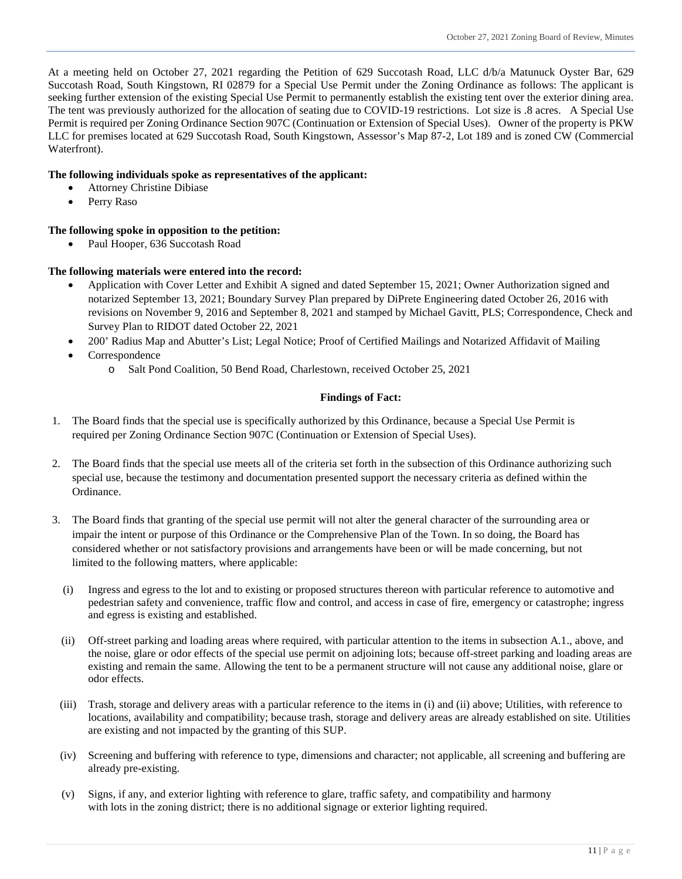At a meeting held on October 27, 2021 regarding the Petition of 629 Succotash Road, LLC d/b/a Matunuck Oyster Bar, 629 Succotash Road, South Kingstown, RI 02879 for a Special Use Permit under the Zoning Ordinance as follows: The applicant is seeking further extension of the existing Special Use Permit to permanently establish the existing tent over the exterior dining area. The tent was previously authorized for the allocation of seating due to COVID-19 restrictions. Lot size is .8 acres. A Special Use Permit is required per Zoning Ordinance Section 907C (Continuation or Extension of Special Uses). Owner of the property is PKW LLC for premises located at 629 Succotash Road, South Kingstown, Assessor's Map 87-2, Lot 189 and is zoned CW (Commercial Waterfront).

# **The following individuals spoke as representatives of the applicant:**

- Attorney Christine Dibiase
- Perry Raso

# **The following spoke in opposition to the petition:**

Paul Hooper, 636 Succotash Road

# **The following materials were entered into the record:**

- Application with Cover Letter and Exhibit A signed and dated September 15, 2021; Owner Authorization signed and notarized September 13, 2021; Boundary Survey Plan prepared by DiPrete Engineering dated October 26, 2016 with revisions on November 9, 2016 and September 8, 2021 and stamped by Michael Gavitt, PLS; Correspondence, Check and Survey Plan to RIDOT dated October 22, 2021
- 200' Radius Map and Abutter's List; Legal Notice; Proof of Certified Mailings and Notarized Affidavit of Mailing
- Correspondence
	- o Salt Pond Coalition, 50 Bend Road, Charlestown, received October 25, 2021

# **Findings of Fact:**

- 1. The Board finds that the special use is specifically authorized by this Ordinance, because a Special Use Permit is required per Zoning Ordinance Section 907C (Continuation or Extension of Special Uses).
- 2. The Board finds that the special use meets all of the criteria set forth in the subsection of this Ordinance authorizing such special use, because the testimony and documentation presented support the necessary criteria as defined within the Ordinance.
- 3. The Board finds that granting of the special use permit will not alter the general character of the surrounding area or impair the intent or purpose of this Ordinance or the Comprehensive Plan of the Town. In so doing, the Board has considered whether or not satisfactory provisions and arrangements have been or will be made concerning, but not limited to the following matters, where applicable:
	- (i) Ingress and egress to the lot and to existing or proposed structures thereon with particular reference to automotive and pedestrian safety and convenience, traffic flow and control, and access in case of fire, emergency or catastrophe; ingress and egress is existing and established.
	- (ii) Off-street parking and loading areas where required, with particular attention to the items in subsection A.1., above, and the noise, glare or odor effects of the special use permit on adjoining lots; because off-street parking and loading areas are existing and remain the same. Allowing the tent to be a permanent structure will not cause any additional noise, glare or odor effects.
	- (iii) Trash, storage and delivery areas with a particular reference to the items in (i) and (ii) above; Utilities, with reference to locations, availability and compatibility; because trash, storage and delivery areas are already established on site. Utilities are existing and not impacted by the granting of this SUP.
	- (iv) Screening and buffering with reference to type, dimensions and character; not applicable, all screening and buffering are already pre-existing.
	- (v) Signs, if any, and exterior lighting with reference to glare, traffic safety, and compatibility and harmony with lots in the zoning district; there is no additional signage or exterior lighting required.